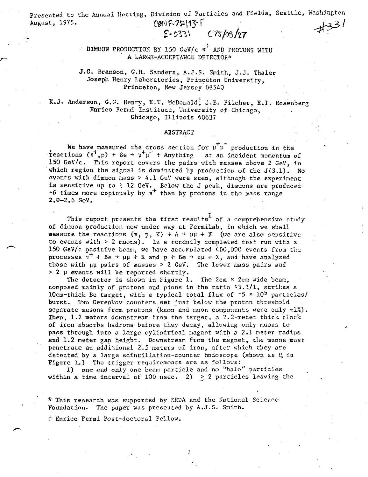Presented to the Annual Meeting, Division of Particles and Fields, Seattle, Washington August, 1975.<br>  $QN$   $\sqrt{3}$   $\sqrt{3}$  $COMF-7F193F$ 

## $E$ -033)  $C75/08/27$

 $\sim$  DIMUON PRODUCTION BY 150 GeV/c  $\pi$ <sup>1</sup>: AND PROTONS WITH A LARGE-ACCEPTANCE DETECTOR\*

## J.G. Branson, G.R. Sanders, A.J.S. Smith, J.J. Thaler Joseph Henry Laboratories, Princeton University, Princeton, New Jersey'08540

K.J. Anderson, G.G. Henry, K.T. McDonald<sup>†</sup> J.E. Pilcher, E.I. Rosenberg Enrico Fermi Institute, University of Chicago, Chicago, Illinois 60637

## ABSTRACT

We have measured the cross section for  $\mu^T\mu^-$  production in the reactions  $(\pi^+, p)$  + Be +  $\mu^+ \mu^-$  + Anything at an incident momentum of 150 GeV/c. This report covers the pairs with masses above 2 GeV, inwhich region the signal is dominated by production of the  $J(3.1)$ . No events with dimuon mass  $> 4.1$  GeV were seen, although the experiment is sensitive up to  $\geq 12$  GeV. Below the J peak, dimuons are produced  $\sim$ 6 times more copiously by  $\pi$ <sup>+</sup> than by protons in the mass range- $2.0 - 2.6$  GeV.

This report presents the first results of a comprehensive study of dimuon production now under way at Fermilab, in which we shallmeasure the reactions  $(\pi, p, K) + A \rightarrow \mu\mu + X$  (we are also sensitive to events with> 2 muons). In a recently completed test run with a- 150 GeV/c positive beam, we have accumulated  $400,000$  events from the processes  $\pi^+$  + Be  $\rightarrow \mu\mu$  + X and p + Be  $\rightarrow \mu\mu$  + X, and have analyzed those with uu pairs of masses  $> 2$  GeV. The lower mass pairs and  $>$  2 µ events will be reported shortly.

The detector is shown in Figure 1. The 2cm  $\times$  2cm wide beam, composed mainly of protons and pions in the ratio  $z3.3/1$ , strikes a-10cm-thick Be target, with a typical total flux of  $-5 \times 10^5$  particles/ burst. Two Cerenkov counters set just below the proton threshold separate mesons from protons (kaon and muon components were only *zl%).*  Then, 1.2 meters downstream from the target, a  $2.2$ -meter thick block of iron absorbs hadrons before they decay, alloving only muons topass through into a large cylindrical magnet with a 2.1 meter radiusand 1.2 meter gap height. Downstream from the magnet, the muons must penetrate an additional 2.5 meters of iron, after which they aredetected by a large scintillation-counter hodoscope (shown as P in-Figure  $1$ ,) The trigger requirements are as follows: J

1) one and only one beam particle and no "halo" particlesl. within a time interval of 100 nsec. 2)  $\geq$  2 particles leaving the

\* This research was supported by ERDA and the National Science Foundation. The paper was presented by A.J.S. Smith.-

† Enrico Fermi Post-doctoral Fellow.

. '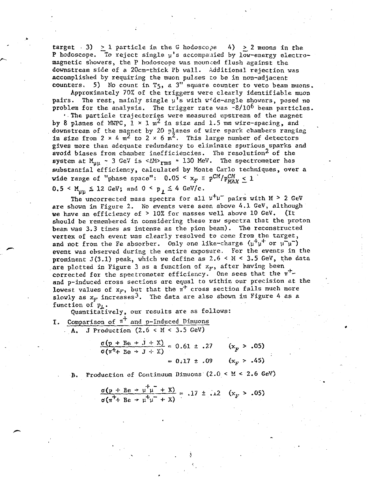target . 3)  $\geq 1$  particle in the G hodoscope 4)  $\geq 2$  muons in the P hodoscope. To reject single  $\mu$ 's accompanied by low-energy electromagnetic showers, the P hodoscope was mounded flush against the downstream side of a 20cm-thick Pb wall. Additional rejection was accomplished by requiring the muon pulses to be in non-adjacent counters. 5) No count in T<sub>5</sub>, a 3" square counter to veto beam muons.

Approximately 70% of the triggers were clearly identifiable muon pairs. The rest, mainly single  $\mu$ 's with wide-angle showers, posed no problem for the analysis. The trigger rate was  $-8/10^6$  beam particles.

 $\cdot$ . The particle trajectories were measured upstream of the magnet by 8 planes of MWPC,  $1 \times 1$  m<sup>2</sup> in size and 1.5 mm wire-spacing, and downstream of the magnet by 20 planes of wire spark chambers ranging in size from  $2 \times 4$  m<sup>2</sup> to  $2 \times 6$  m<sup>2</sup>. This large number of detectors gives more than adequate redundancy to eliminate spurious sparks and avoid biases from chamber inefficiencies. The resolution<sup>2</sup> of the system at  $M_{\mu\mu}$  - 3 GeV is < $\Delta M>_{rms}$  = 130 MeV. The spectrometer has substantial efficiency, calculated by Monte Carlo techniques, over a wide range of "phase space":  $0.05 \le x_F = p^{CM}/p_{max}^{CM} \le 1$ 

$$
0.5 < M_{\text{uu}} \leq 12 \text{ GeV}; \text{ and } 0 < p_{\perp} \leq 4 \text{ GeV/c}.
$$

·.

The uncorrected mass spectra for all  $\mu^+\mu^-$  pairs with M > 2 GeV are shown in Figure 2. No events were seen above 4.1 GeV, although we have an efficiency of > 10% for masses well above 10 GeV. (It should be remembered in considering these raw spectra that the proton beam was 3.3 times as intense as the pion beam). The reconstructed vertex of each event was clearly resolved to come from the target, and not from the Fe absorber. Only one like-charge  $(\mu^+ \mu^+$  or  $\mu^- \mu^-)$ event was observed during the entire exposure. For the events in the prominent  $J(3.1)$  peak, which we define as  $2.6 < M < 3.5$  GeV, the data are plotted in Figure 3 as a function of  $x_F$ , after having been corrected for the spectrometer efficiency. One sees that the  $\pi^+$ and p-induced cross sections are equal to within our precision at the lowest values of  $x_F$ , but that the  $\pi^+$  cross section falls much more slowly as  $x_F$  increases<sup>3</sup>. The data are also shown in Figure 4 as a function of  $p_L$ .

Quantitatively, our results are as follows:

I. Comparison of  $\pi^+$  and p-Induced Dimuons  $\cdot$  A. J Production (2.6 < M < 3.5 GeV)

$$
\frac{\sigma(p + Be \rightarrow J + X)}{\sigma(\pi^+ + Be \rightarrow J + X)} = 0.61 \pm .27 \quad (x_F > .05)
$$

$$
= 0.17 \pm .09 \quad (x_F > .45)
$$

Production of Continuum Dimuons  $(2.0 < M < 2.6$  GeV)

$$
\frac{\sigma(p + Be \rightarrow \mu^+ \mu^- + X)}{\sigma(\pi^+ + Be \rightarrow \mu^+ \mu^- + X)} = .17 \pm .12 \quad (x_F > .05)
$$

...

.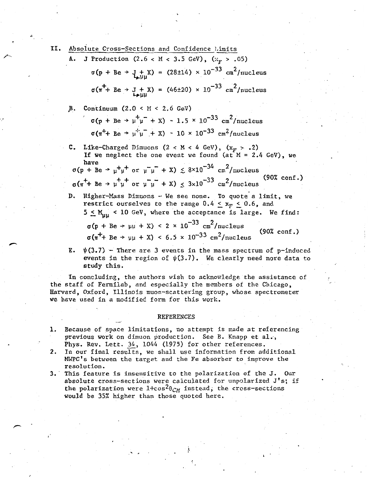II. Absolute Cross-Sections and Confidence Limits J Production (2.6 < M < 3.5 GeV), ( $x_F$  > .05)  $\sigma(p + Be \rightarrow J_{\mu\mu\nu}^{\mu}X) = (28\pm14) \times 10^{-33} \text{ cm}^2/\text{nucleus}$  $\sigma(\pi^+ + \text{Be} \to \text{J} + \text{X}) = (46 \pm 20) \times 10^{-33} \text{ cm}^2/\text{nucleus}$ . B•. Continuum (2.0 < H < 2.6 GeV)- $\mu^{\dagger} \mu^{-} + X$ ) ~ 1.5 × 10<sup>-33</sup> cm<sup>2</sup>/nucleus  $\sigma(\pi^+ + \text{Be} + \mu^+ \mu^- + \chi) \sim 10 \times 10^{-33} \text{ cm}^2/\text{nucleus}$ **C.** Like-Charged Dimuons (2 < M < 4 GeV),  $(x_F > .2)$ If we neglect the one event we found  $(at^M = 2.4 \text{ GeV})$ , we have  $\begin{array}{ccc} -34 & 2 \end{array}$  $\sigma(p + Be \rightarrow \mu^+ \mu^+ \text{ or } \mu^- \mu^- + \text{X}) \lesssim 8 \times 10^{-34} \text{ cm}^2/\text{nucleus}$  $\sigma(\pi^+ + \text{ Be } + \mu^+ \mu^+ \text{ or } \mu^- \mu^- + \text{X}) \leq 3 \times 10^{-33} \text{ cm}^2/\text{nucleus}$  (90% conf.) D. Higher-Mass Dimuons - We see none. To quote a limit, we restrict ourselves to the range  $0.4 \leq x_F \leq 0.6$ , and  $5 \leq M_{\text{int}}$  < 10 GeV, where the acceptance is large. We find:  $\sigma(p + Be \rightarrow \mu\mu + X)$  < 2 × 10<sup>-33</sup> cm<sup>2</sup>/nucleus  $\sigma(\pi^+ + \text{Be} \rightarrow \text{uu} + \text{X}) < 6.5 \times 10^{-33} \text{ cm}^2/\text{nucleus}$  (90% conf.) E.  $\psi(3.7)$  - There are 3 events in the mass spectrum of p-induced

events in the region of  $\psi(3.7)$ . We clearly need more data to study this.

In concluding, the authors wish to acknowledge the assistance of the staff of Fermilab, and especially the members of the Chicago, Harvard, Oxford, Illinois muon-scattering group, whose spectrometer we have used in a modified form for this work.

## REFERENCES

- 1. Because of space limitations, no attempt is made at referencing previous work on dimuon production. See B. Knapp et al., Phys. Rev. Lett. 34, 1044 (1975) for other references.
- 2. In our final results, we shall use information from additional MWPC's between the target and the Fe absorber to improve the resolution.
- 3.' This feature is insensitive to the polarization of the J. Our absolute cross-sections were calculated for unpolarized J's; if the polarization were  $1+\cos^2\theta_{CM}$  instead, the cross-sections would be 35% higher than those quoted here.

..... . .\

/